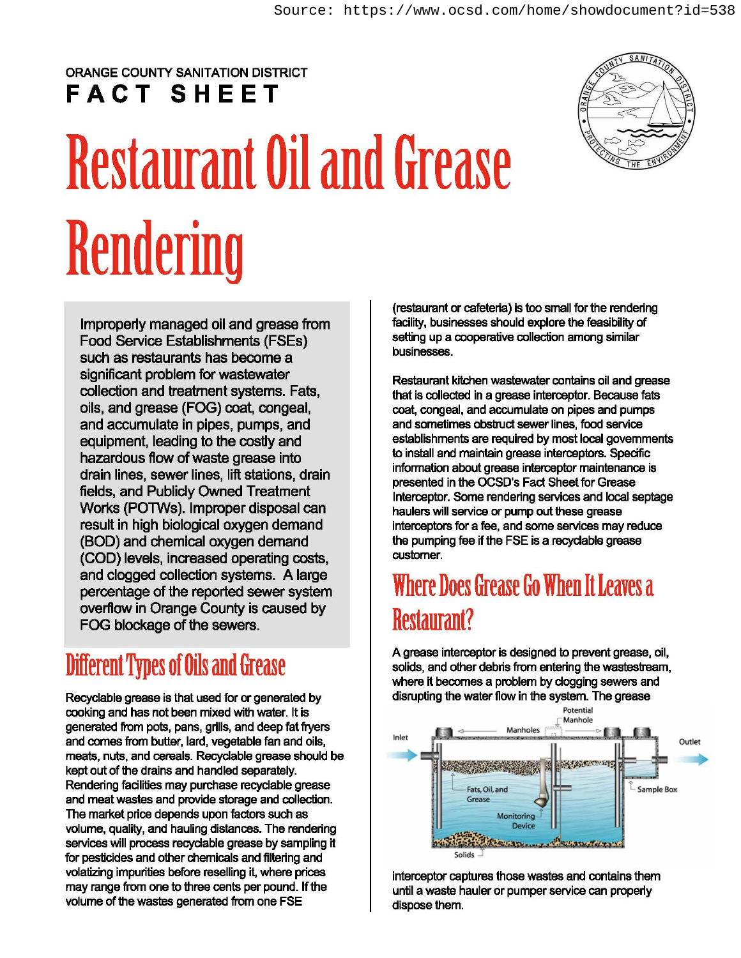#### ORANGE COUNTY SANITATION DISTRICT **FACT SHEET**

# **Restaurant Oil and Grease Rendering**

lmproperty managed oil and grease from Food Service Establishments (FSEs) such as restaurants has become a significant problem for wastewater collection and treatment systems. Fats, oils, and grease (FOG) coat, congeal, and accumulate in pipes, pumps, and equipment, leading to the costly and hazardous flow of waste grease into drain lines, sewer lines, lift stations, drain fields, and Publidy Owned Treatment Works (POTWs). Improper disposal can result in high biological oxygen demand (BOD) and chemical oxygen demand (COD) levels, increased operating costs, and clogged collection systems. A large percentage of the reported sewer system overflow in Orange County is caused by FOG blockage of the sewers.

#### **Different** Types **of Oils and Grease**

Recyclable grease is that used for or generated by cooking and has not been mixed with water. It is generated from pots, pans, grills, and deep fat fryers and comes from butter, lard, vegetable fan and oils, meats, nuts, and cereals. Recyclable grease should be kept out of the drains and handled separately. Rendering facilities may purchase recyclable grease and meat wastes and provide storage and collection. The market price depends upon factors such as volume, quality, and hauling distances. The rendering services will process recyclable grease by sampling it for pesticides and other chemicals and filtering and volatizing impurities before reselling it, where prices may range from one to three cents per pound. If the volume of the wastes generated from one FSE

(restaurant or cafeteria) is too small for the rendering facility, businesses should explore the feasibility of setting up a cooperative collection among similar businesses.

Restaurant kitchen wastewater contains oil and grease that is collected in a grease interceptor. Because fats coat, congeal, and accumulate on pipes and pumps and sometimes obstruct sewer lines, food service establishments are required by most local governments to install and maintain grease interceptors. Specific information about grease interceptor maintenance is presented in the OCSD's Fact Sheet for Grease Interceptor. Some rendering services and local septage haulers will service or pump out these grease interceptors for a fee, and some services may reduce the pumping fee if the FSE is a recyclable grease customer.

#### **Where Does Grease Go When It Leaves a Restaurant?**

A grease interceptor is designed to prevent grease, oil, solids, and other debris from entering the wastestream, where it becomes a problem by clogging sewers and disrupting the water flow in the system. The grease



interceptor captures those wastes and contains them until a waste hauler or pumper service can properly dispose them.